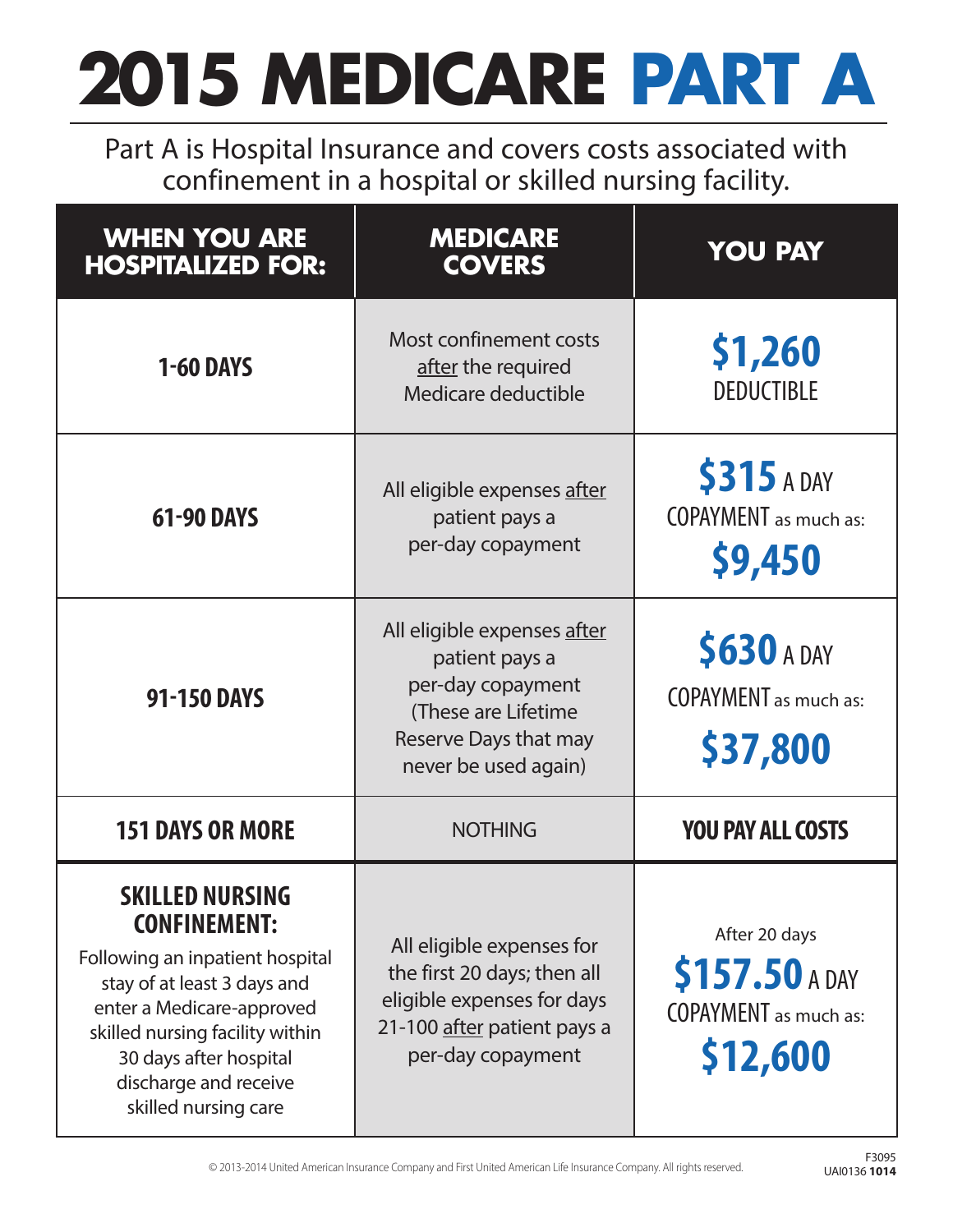## **2015 MEDICARE PART A**

Part A is Hospital Insurance and covers costs associated with confinement in a hospital or skilled nursing facility.

| <b>WHEN YOU ARE</b><br><b>HOSPITALIZED FOR:</b>                                                                                                                                                                                                            | <b>MEDICARE</b><br><b>COVERS</b>                                                                                                           | <b>YOU PAY</b>                                                              |
|------------------------------------------------------------------------------------------------------------------------------------------------------------------------------------------------------------------------------------------------------------|--------------------------------------------------------------------------------------------------------------------------------------------|-----------------------------------------------------------------------------|
| <b>1-60 DAYS</b>                                                                                                                                                                                                                                           | Most confinement costs<br>after the required<br>Medicare deductible                                                                        | \$1,260<br><b>DEDUCTIBLE</b>                                                |
| <b>61-90 DAYS</b>                                                                                                                                                                                                                                          | All eligible expenses after<br>patient pays a<br>per-day copayment                                                                         | <b>\$315 A DAY</b><br><b>COPAYMENT</b> as much as:<br>\$9,450               |
| <b>91-150 DAYS</b>                                                                                                                                                                                                                                         | All eligible expenses after<br>patient pays a<br>per-day copayment<br>(These are Lifetime<br>Reserve Days that may<br>never be used again) | <b>\$630 A DAY</b><br><b>COPAYMENT</b> as much as:<br>\$37,800              |
| <b>151 DAYS OR MORE</b>                                                                                                                                                                                                                                    | <b>NOTHING</b>                                                                                                                             | <b>YOU PAY ALL COSTS</b>                                                    |
| <b>SKILLED NURSING</b><br><b>CONFINEMENT:</b><br>Following an inpatient hospital<br>stay of at least 3 days and<br>enter a Medicare-approved<br>skilled nursing facility within<br>30 days after hospital<br>discharge and receive<br>skilled nursing care | All eligible expenses for<br>the first 20 days; then all<br>eligible expenses for days<br>21-100 after patient pays a<br>per-day copayment | After 20 days<br>\$157.50 A DAY<br><b>COPAYMENT</b> as much as:<br>\$12,600 |